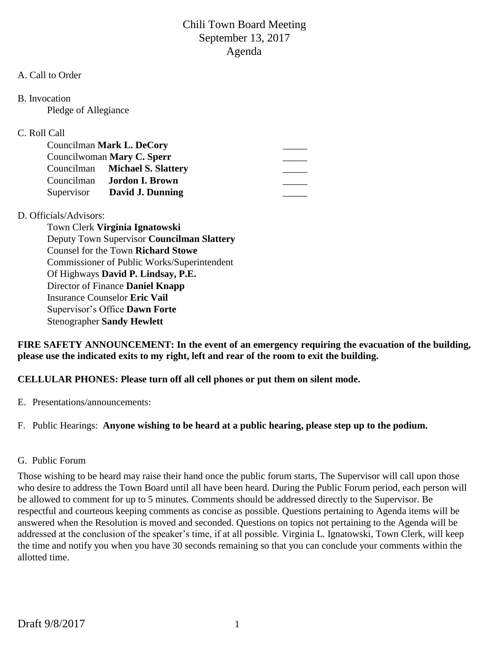### A. Call to Order

B. Invocation

Pledge of Allegiance

## C. Roll Call

|            | Councilman Mark L. DeCory         |  |
|------------|-----------------------------------|--|
|            | Councilwoman Mary C. Sperr        |  |
|            | Councilman Michael S. Slattery    |  |
|            | Councilman <b>Jordon I. Brown</b> |  |
| Supervisor | David J. Dunning                  |  |

## D. Officials/Advisors:

Town Clerk **Virginia Ignatowski** Deputy Town Supervisor **Councilman Slattery** Counsel for the Town **Richard Stowe** Commissioner of Public Works/Superintendent Of Highways **David P. Lindsay, P.E.** Director of Finance **Daniel Knapp** Insurance Counselor **Eric Vail** Supervisor's Office **Dawn Forte** Stenographer **Sandy Hewlett**

**FIRE SAFETY ANNOUNCEMENT: In the event of an emergency requiring the evacuation of the building, please use the indicated exits to my right, left and rear of the room to exit the building.**

**CELLULAR PHONES: Please turn off all cell phones or put them on silent mode.**

E. Presentations/announcements:

F. Public Hearings: **Anyone wishing to be heard at a public hearing, please step up to the podium.**

## G. Public Forum

Those wishing to be heard may raise their hand once the public forum starts, The Supervisor will call upon those who desire to address the Town Board until all have been heard. During the Public Forum period, each person will be allowed to comment for up to 5 minutes. Comments should be addressed directly to the Supervisor. Be respectful and courteous keeping comments as concise as possible. Questions pertaining to Agenda items will be answered when the Resolution is moved and seconded. Questions on topics not pertaining to the Agenda will be addressed at the conclusion of the speaker's time, if at all possible. Virginia L. Ignatowski, Town Clerk, will keep the time and notify you when you have 30 seconds remaining so that you can conclude your comments within the allotted time.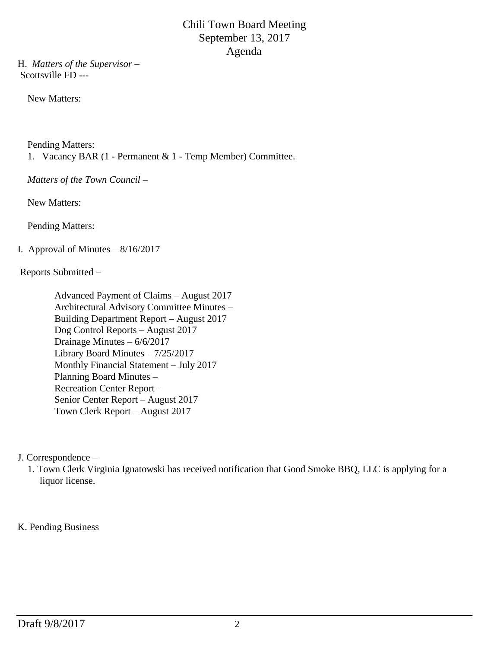H. *Matters of the Supervisor –* Scottsville FD ---

New Matters:

Pending Matters:

1. Vacancy BAR (1 - Permanent & 1 - Temp Member) Committee.

*Matters of the Town Council –*

New Matters:

Pending Matters:

# I. Approval of Minutes  $-8/16/2017$

Reports Submitted –

 Advanced Payment of Claims – August 2017 Architectural Advisory Committee Minutes – Building Department Report – August 2017 Dog Control Reports – August 2017 Drainage Minutes – 6/6/2017 Library Board Minutes – 7/25/2017 Monthly Financial Statement – July 2017 Planning Board Minutes – Recreation Center Report – Senior Center Report – August 2017 Town Clerk Report – August 2017

J. Correspondence –

 1. Town Clerk Virginia Ignatowski has received notification that Good Smoke BBQ, LLC is applying for a liquor license.

K. Pending Business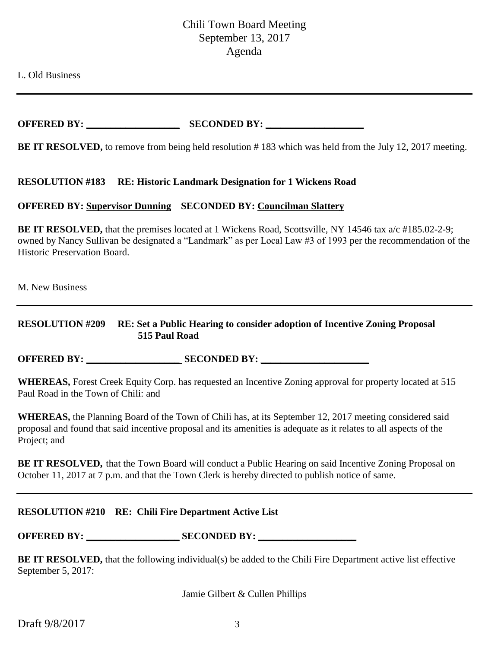L. Old Business

**OFFERED BY: \_\_\_\_\_\_\_\_\_\_\_\_\_\_\_\_\_\_\_ SECONDED BY: \_\_\_\_\_\_\_\_\_\_\_\_\_\_\_\_\_\_\_\_**

**BE IT RESOLVED,** to remove from being held resolution # 183 which was held from the July 12, 2017 meeting.

#### **RESOLUTION #183 RE: Historic Landmark Designation for 1 Wickens Road**

### **OFFERED BY: Supervisor Dunning SECONDED BY: Councilman Slattery**

**BE IT RESOLVED,** that the premises located at 1 Wickens Road, Scottsville, NY 14546 tax a/c #185.02-2-9; owned by Nancy Sullivan be designated a "Landmark" as per Local Law #3 of 1993 per the recommendation of the Historic Preservation Board.

M. New Business

### **RESOLUTION #209 RE: Set a Public Hearing to consider adoption of Incentive Zoning Proposal 515 Paul Road**

**OFFERED BY: \_\_\_\_\_\_\_\_\_\_\_\_\_\_\_\_\_\_\_ SECONDED BY: \_\_\_\_\_\_\_\_\_\_\_\_\_\_\_\_\_\_\_\_\_\_**

**WHEREAS,** Forest Creek Equity Corp. has requested an Incentive Zoning approval for property located at 515 Paul Road in the Town of Chili: and

**WHEREAS,** the Planning Board of the Town of Chili has, at its September 12, 2017 meeting considered said proposal and found that said incentive proposal and its amenities is adequate as it relates to all aspects of the Project; and

**BE IT RESOLVED,** that the Town Board will conduct a Public Hearing on said Incentive Zoning Proposal on October 11, 2017 at 7 p.m. and that the Town Clerk is hereby directed to publish notice of same.

#### **RESOLUTION #210 RE: Chili Fire Department Active List**

**OFFERED BY:** SECONDED BY:

**BE IT RESOLVED,** that the following individual(s) be added to the Chili Fire Department active list effective September 5, 2017:

Jamie Gilbert & Cullen Phillips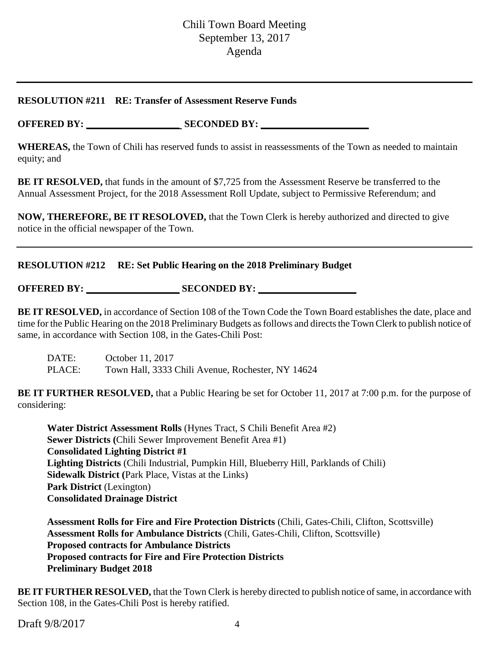### **RESOLUTION #211 RE: Transfer of Assessment Reserve Funds**

**OFFERED BY: \_\_\_\_\_\_\_\_\_\_\_\_\_\_\_\_\_\_\_ SECONDED BY: \_\_\_\_\_\_\_\_\_\_\_\_\_\_\_\_\_\_\_\_\_\_**

**WHEREAS,** the Town of Chili has reserved funds to assist in reassessments of the Town as needed to maintain equity; and

**BE IT RESOLVED,** that funds in the amount of \$7,725 from the Assessment Reserve be transferred to the Annual Assessment Project, for the 2018 Assessment Roll Update, subject to Permissive Referendum; and

**NOW, THEREFORE, BE IT RESOLOVED,** that the Town Clerk is hereby authorized and directed to give notice in the official newspaper of the Town.

## **RESOLUTION #212 RE: Set Public Hearing on the 2018 Preliminary Budget**

**OFFERED BY: \_\_\_\_\_\_\_\_\_\_\_\_\_\_\_\_\_\_\_ SECONDED BY: \_\_\_\_\_\_\_\_\_\_\_\_\_\_\_\_\_\_\_\_**

**BE IT RESOLVED,** in accordance of Section 108 of the Town Code the Town Board establishes the date, place and time for the Public Hearing on the 2018 Preliminary Budgets as follows and directs the Town Clerk to publish notice of same, in accordance with Section 108, in the Gates-Chili Post:

DATE: October 11, 2017 PLACE: Town Hall, 3333 Chili Avenue, Rochester, NY 14624

**BE IT FURTHER RESOLVED,** that a Public Hearing be set for October 11, 2017 at 7:00 p.m. for the purpose of considering:

**Water District Assessment Rolls** (Hynes Tract, S Chili Benefit Area #2) **Sewer Districts (**Chili Sewer Improvement Benefit Area #1) **Consolidated Lighting District #1 Lighting Districts** (Chili Industrial, Pumpkin Hill, Blueberry Hill, Parklands of Chili) **Sidewalk District (**Park Place, Vistas at the Links) **Park District** (Lexington) **Consolidated Drainage District**

**Assessment Rolls for Fire and Fire Protection Districts** (Chili, Gates-Chili, Clifton, Scottsville) **Assessment Rolls for Ambulance Districts** (Chili, Gates-Chili, Clifton, Scottsville) **Proposed contracts for Ambulance Districts Proposed contracts for Fire and Fire Protection Districts Preliminary Budget 2018**

**BE IT FURTHER RESOLVED,** that the Town Clerk is hereby directed to publish notice of same, in accordance with Section 108, in the Gates-Chili Post is hereby ratified.

Draft  $9/8/2017$  4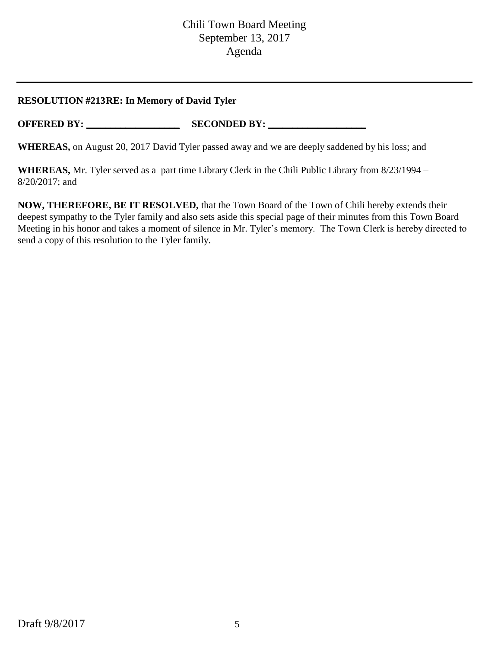## **RESOLUTION #213RE: In Memory of David Tyler**

**OFFERED BY: \_\_\_\_\_\_\_\_\_\_\_\_\_\_\_\_\_\_\_ SECONDED BY: \_\_\_\_\_\_\_\_\_\_\_\_\_\_\_\_\_\_\_\_**

**WHEREAS,** on August 20, 2017 David Tyler passed away and we are deeply saddened by his loss; and

**WHEREAS,** Mr. Tyler served as a part time Library Clerk in the Chili Public Library from 8/23/1994 – 8/20/2017; and

**NOW, THEREFORE, BE IT RESOLVED,** that the Town Board of the Town of Chili hereby extends their deepest sympathy to the Tyler family and also sets aside this special page of their minutes from this Town Board Meeting in his honor and takes a moment of silence in Mr. Tyler's memory. The Town Clerk is hereby directed to send a copy of this resolution to the Tyler family.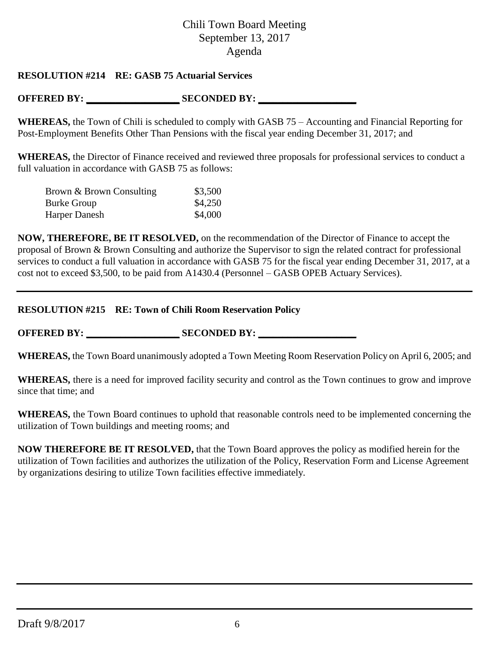## **RESOLUTION #214 RE: GASB 75 Actuarial Services**

## **OFFERED BY: \_\_\_\_\_\_\_\_\_\_\_\_\_\_\_\_\_\_\_ SECONDED BY: \_\_\_\_\_\_\_\_\_\_\_\_\_\_\_\_\_\_\_\_**

**WHEREAS,** the Town of Chili is scheduled to comply with GASB 75 – Accounting and Financial Reporting for Post-Employment Benefits Other Than Pensions with the fiscal year ending December 31, 2017; and

**WHEREAS,** the Director of Finance received and reviewed three proposals for professional services to conduct a full valuation in accordance with GASB 75 as follows:

| Brown & Brown Consulting | \$3,500 |
|--------------------------|---------|
| <b>Burke Group</b>       | \$4,250 |
| Harper Danesh            | \$4,000 |

**NOW, THEREFORE, BE IT RESOLVED,** on the recommendation of the Director of Finance to accept the proposal of Brown & Brown Consulting and authorize the Supervisor to sign the related contract for professional services to conduct a full valuation in accordance with GASB 75 for the fiscal year ending December 31, 2017, at a cost not to exceed \$3,500, to be paid from A1430.4 (Personnel – GASB OPEB Actuary Services).

### **RESOLUTION #215 RE: Town of Chili Room Reservation Policy**

**OFFERED BY: \_\_\_\_\_\_\_\_\_\_\_\_\_\_\_\_\_\_\_ SECONDED BY: \_\_\_\_\_\_\_\_\_\_\_\_\_\_\_\_\_\_\_\_**

**WHEREAS,** the Town Board unanimously adopted a Town Meeting Room Reservation Policy on April 6, 2005; and

**WHEREAS,** there is a need for improved facility security and control as the Town continues to grow and improve since that time; and

**WHEREAS,** the Town Board continues to uphold that reasonable controls need to be implemented concerning the utilization of Town buildings and meeting rooms; and

**NOW THEREFORE BE IT RESOLVED,** that the Town Board approves the policy as modified herein for the utilization of Town facilities and authorizes the utilization of the Policy, Reservation Form and License Agreement by organizations desiring to utilize Town facilities effective immediately.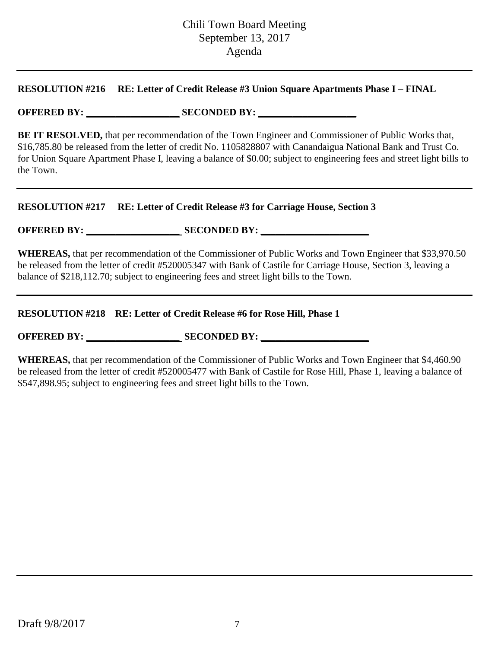### **RESOLUTION #216 RE: Letter of Credit Release #3 Union Square Apartments Phase I – FINAL**

## **OFFERED BY: \_\_\_\_\_\_\_\_\_\_\_\_\_\_\_\_\_\_\_ SECONDED BY: \_\_\_\_\_\_\_\_\_\_\_\_\_\_\_\_\_\_\_\_**

**BE IT RESOLVED,** that per recommendation of the Town Engineer and Commissioner of Public Works that, \$16,785.80 be released from the letter of credit No. 1105828807 with Canandaigua National Bank and Trust Co. for Union Square Apartment Phase I, leaving a balance of \$0.00; subject to engineering fees and street light bills to the Town.

### **RESOLUTION #217 RE: Letter of Credit Release #3 for Carriage House, Section 3**

**OFFERED BY: \_\_\_\_\_\_\_\_\_\_\_\_\_\_\_\_\_\_\_ SECONDED BY: \_\_\_\_\_\_\_\_\_\_\_\_\_\_\_\_\_\_\_\_\_\_**

**WHEREAS,** that per recommendation of the Commissioner of Public Works and Town Engineer that \$33,970.50 be released from the letter of credit #520005347 with Bank of Castile for Carriage House, Section 3, leaving a balance of \$218,112.70; subject to engineering fees and street light bills to the Town.

### **RESOLUTION #218 RE: Letter of Credit Release #6 for Rose Hill, Phase 1**

**OFFERED BY: \_\_\_\_\_\_\_\_\_\_\_\_\_\_\_\_\_\_\_ SECONDED BY: \_\_\_\_\_\_\_\_\_\_\_\_\_\_\_\_\_\_\_\_\_\_**

**WHEREAS,** that per recommendation of the Commissioner of Public Works and Town Engineer that \$4,460.90 be released from the letter of credit #520005477 with Bank of Castile for Rose Hill, Phase 1, leaving a balance of \$547,898.95; subject to engineering fees and street light bills to the Town.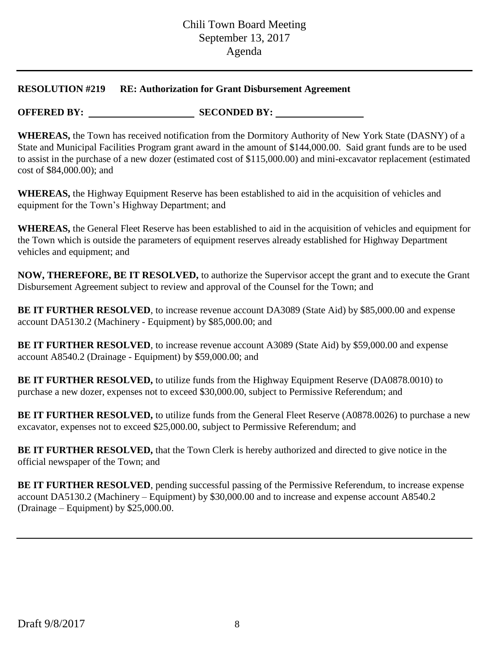### **RESOLUTION #219 RE: Authorization for Grant Disbursement Agreement**

**OFFERED BY:** SECONDED BY:

**WHEREAS,** the Town has received notification from the Dormitory Authority of New York State (DASNY) of a State and Municipal Facilities Program grant award in the amount of \$144,000.00. Said grant funds are to be used to assist in the purchase of a new dozer (estimated cost of \$115,000.00) and mini-excavator replacement (estimated cost of \$84,000.00); and

**WHEREAS,** the Highway Equipment Reserve has been established to aid in the acquisition of vehicles and equipment for the Town's Highway Department; and

**WHEREAS,** the General Fleet Reserve has been established to aid in the acquisition of vehicles and equipment for the Town which is outside the parameters of equipment reserves already established for Highway Department vehicles and equipment; and

**NOW, THEREFORE, BE IT RESOLVED,** to authorize the Supervisor accept the grant and to execute the Grant Disbursement Agreement subject to review and approval of the Counsel for the Town; and

**BE IT FURTHER RESOLVED**, to increase revenue account DA3089 (State Aid) by \$85,000.00 and expense account DA5130.2 (Machinery - Equipment) by \$85,000.00; and

**BE IT FURTHER RESOLVED**, to increase revenue account A3089 (State Aid) by \$59,000.00 and expense account A8540.2 (Drainage - Equipment) by \$59,000.00; and

**BE IT FURTHER RESOLVED,** to utilize funds from the Highway Equipment Reserve (DA0878.0010) to purchase a new dozer, expenses not to exceed \$30,000.00, subject to Permissive Referendum; and

**BE IT FURTHER RESOLVED,** to utilize funds from the General Fleet Reserve (A0878.0026) to purchase a new excavator, expenses not to exceed \$25,000.00, subject to Permissive Referendum; and

**BE IT FURTHER RESOLVED,** that the Town Clerk is hereby authorized and directed to give notice in the official newspaper of the Town; and

**BE IT FURTHER RESOLVED**, pending successful passing of the Permissive Referendum, to increase expense account DA5130.2 (Machinery – Equipment) by \$30,000.00 and to increase and expense account A8540.2 (Drainage – Equipment) by \$25,000.00.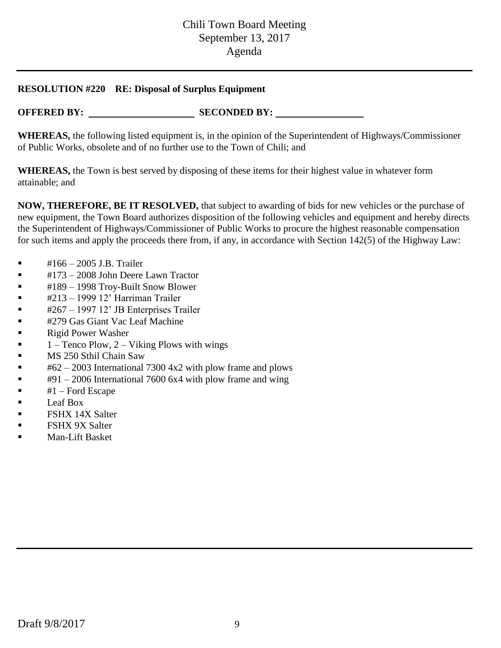### **RESOLUTION #220 RE: Disposal of Surplus Equipment**

**OFFERED BY:** SECONDED BY:

**WHEREAS,** the following listed equipment is, in the opinion of the Superintendent of Highways/Commissioner of Public Works, obsolete and of no further use to the Town of Chili; and

**WHEREAS,** the Town is best served by disposing of these items for their highest value in whatever form attainable; and

**NOW, THEREFORE, BE IT RESOLVED,** that subject to awarding of bids for new vehicles or the purchase of new equipment, the Town Board authorizes disposition of the following vehicles and equipment and hereby directs the Superintendent of Highways/Commissioner of Public Works to procure the highest reasonable compensation for such items and apply the proceeds there from, if any, in accordance with Section 142(5) of the Highway Law:

- #166 2005 J.B. Trailer
- $\blacksquare$  #173 2008 John Deere Lawn Tractor
- #189 1998 Troy-Built Snow Blower
- #213 1999 12' Harriman Trailer
- #267 1997 12' JB Enterprises Trailer
- #279 Gas Giant Vac Leaf Machine
- Rigid Power Washer
- 1 Tenco Plow, 2 Viking Plows with wings
- **MS** 250 Sthil Chain Saw
- $\bullet$  #62 2003 International 7300 4x2 with plow frame and plows
- $\bullet$  #91 2006 International 7600 6x4 with plow frame and wing
- $\blacksquare$   $\#1$  Ford Escape
- Leaf Box
- FSHX 14X Salter
- FSHX 9X Salter
- Man-Lift Basket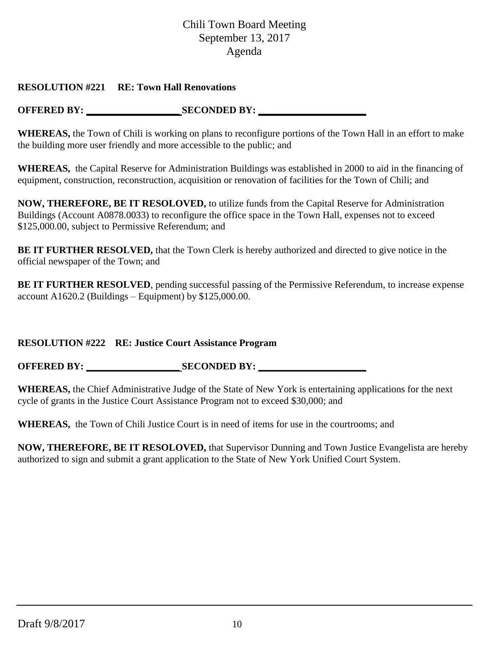## **RESOLUTION #221 RE: Town Hall Renovations**

**OFFERED BY: \_\_\_\_\_\_\_\_\_\_\_\_\_\_\_\_\_\_\_ SECONDED BY: \_\_\_\_\_\_\_\_\_\_\_\_\_\_\_\_\_\_\_\_\_\_**

**WHEREAS,** the Town of Chili is working on plans to reconfigure portions of the Town Hall in an effort to make the building more user friendly and more accessible to the public; and

**WHEREAS,** the Capital Reserve for Administration Buildings was established in 2000 to aid in the financing of equipment, construction, reconstruction, acquisition or renovation of facilities for the Town of Chili; and

**NOW, THEREFORE, BE IT RESOLOVED,** to utilize funds from the Capital Reserve for Administration Buildings (Account A0878.0033) to reconfigure the office space in the Town Hall, expenses not to exceed \$125,000.00, subject to Permissive Referendum; and

**BE IT FURTHER RESOLVED,** that the Town Clerk is hereby authorized and directed to give notice in the official newspaper of the Town; and

**BE IT FURTHER RESOLVED**, pending successful passing of the Permissive Referendum, to increase expense account A1620.2 (Buildings – Equipment) by  $$125,000.00$ .

## **RESOLUTION #222 RE: Justice Court Assistance Program**

**OFFERED BY: SECONDED BY:** 

**WHEREAS,** the Chief Administrative Judge of the State of New York is entertaining applications for the next cycle of grants in the Justice Court Assistance Program not to exceed \$30,000; and

**WHEREAS,** the Town of Chili Justice Court is in need of items for use in the courtrooms; and

**NOW, THEREFORE, BE IT RESOLOVED,** that Supervisor Dunning and Town Justice Evangelista are hereby authorized to sign and submit a grant application to the State of New York Unified Court System.